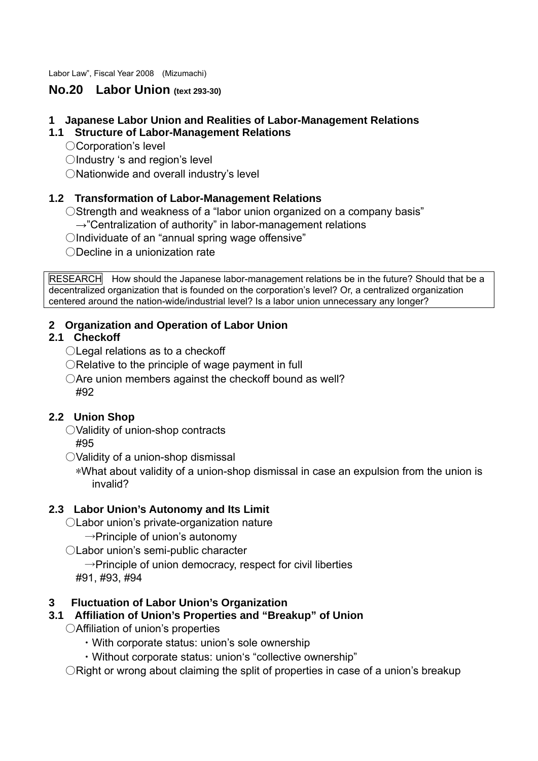Labor Law", Fiscal Year 2008 (Mizumachi)

## **No.20 Labor Union (text 293-30)**

#### **1 Japanese Labor Union and Realities of Labor-Management Relations**

#### **1.1 Structure of Labor-Management Relations**

- ○Corporation's level
- ○Industry 's and region's level
- ONationwide and overall industry's level

#### **1.2 Transformation of Labor-Management Relations**

O Strength and weakness of a "labor union organized on a company basis"

- $\rightarrow$ "Centralization of authority" in labor-management relations
- ○Individuate of an "annual spring wage offensive"

○Decline in a unionization rate

RESEARCH How should the Japanese labor-management relations be in the future? Should that be a decentralized organization that is founded on the corporation's level? Or, a centralized organization centered around the nation-wide/industrial level? Is a labor union unnecessary any longer?

### **2 Organization and Operation of Labor Union**

### **2.1 Checkoff**

- ○Legal relations as to a checkoff
- ○Relative to the principle of wage payment in full
- $\bigcirc$  Are union members against the checkoff bound as well? #92

#### **2.2 Union Shop**

- ○Validity of union-shop contracts #95
- ○Validity of a union-shop dismissal

 \*What about validity of a union-shop dismissal in case an expulsion from the union is invalid?

#### **2.3 Labor Union's Autonomy and Its Limit**

- ○Labor union's private-organization nature
	- $\rightarrow$ Principle of union's autonomy
- ○Labor union's semi-public character
	- $\rightarrow$ Principle of union democracy, respect for civil liberties
	- #91, #93, #94

# **3 Fluctuation of Labor Union's Organization**

# **3.1 Affiliation of Union's Properties and "Breakup" of Union**

- ○Affiliation of union's properties
	- ・With corporate status: union's sole ownership
	- ・Without corporate status: union's "collective ownership"

○Right or wrong about claiming the split of properties in case of a union's breakup